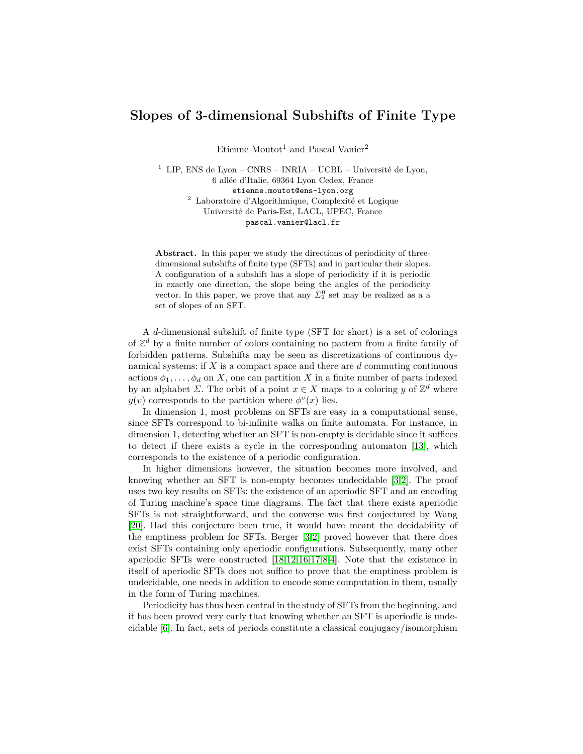# **Slopes of 3-dimensional Subshifts of Finite Type**

Etienne Moutot<sup>1</sup> and Pascal Vanier<sup>2</sup>

<sup>1</sup> LIP, ENS de Lyon – CNRS – INRIA – UCBL – Université de Lyon, 6 allée d'Italie, 69364 Lyon Cedex, France etienne.moutot@ens-lyon.org <sup>2</sup> Laboratoire d'Algorithmique, Complexité et Logique Université de Paris-Est, LACL, UPEC, France pascal.vanier@lacl.fr

**Abstract.** In this paper we study the directions of periodicity of threedimensional subshifts of finite type (SFTs) and in particular their slopes. A configuration of a subshift has a slope of periodicity if it is periodic in exactly one direction, the slope being the angles of the periodicity vector. In this paper, we prove that any  $\Sigma_2^0$  set may be realized as a a set of slopes of an SFT.

A *d*-dimensional subshift of finite type (SFT for short) is a set of colorings of  $\mathbb{Z}^d$  by a finite number of colors containing no pattern from a finite family of forbidden patterns. Subshifts may be seen as discretizations of continuous dynamical systems: if *X* is a compact space and there are *d* commuting continuous actions  $\phi_1, \ldots, \phi_d$  on *X*, one can partition *X* in a finite number of parts indexed by an alphabet  $\Sigma$ . The orbit of a point  $x \in X$  maps to a coloring *y* of  $\mathbb{Z}^d$  where  $y(v)$  corresponds to the partition where  $\phi^v(x)$  lies.

In dimension 1, most problems on SFTs are easy in a computational sense, since SFTs correspond to bi-infinite walks on finite automata. For instance, in dimension 1, detecting whether an SFT is non-empty is decidable since it suffices to detect if there exists a cycle in the corresponding automaton [\[13\]](#page-11-0), which corresponds to the existence of a periodic configuration.

In higher dimensions however, the situation becomes more involved, and knowing whether an SFT is non-empty becomes undecidable [\[3,](#page-11-1)[2\]](#page-11-2). The proof uses two key results on SFTs: the existence of an aperiodic SFT and an encoding of Turing machine's space time diagrams. The fact that there exists aperiodic SFTs is not straightforward, and the converse was first conjectured by Wang [\[20\]](#page-11-3). Had this conjecture been true, it would have meant the decidability of the emptiness problem for SFTs. Berger [\[3](#page-11-1)[,2\]](#page-11-2) proved however that there does exist SFTs containing only aperiodic configurations. Subsequently, many other aperiodic SFTs were constructed [\[18,](#page-11-4)[12,](#page-11-5)[16,](#page-11-6)[17](#page-11-7)[,8,](#page-11-8)[4\]](#page-11-9). Note that the existence in itself of aperiodic SFTs does not suffice to prove that the emptiness problem is undecidable, one needs in addition to encode some computation in them, usually in the form of Turing machines.

Periodicity has thus been central in the study of SFTs from the beginning, and it has been proved very early that knowing whether an SFT is aperiodic is undecidable [\[6\]](#page-11-10). In fact, sets of periods constitute a classical conjugacy/isomorphism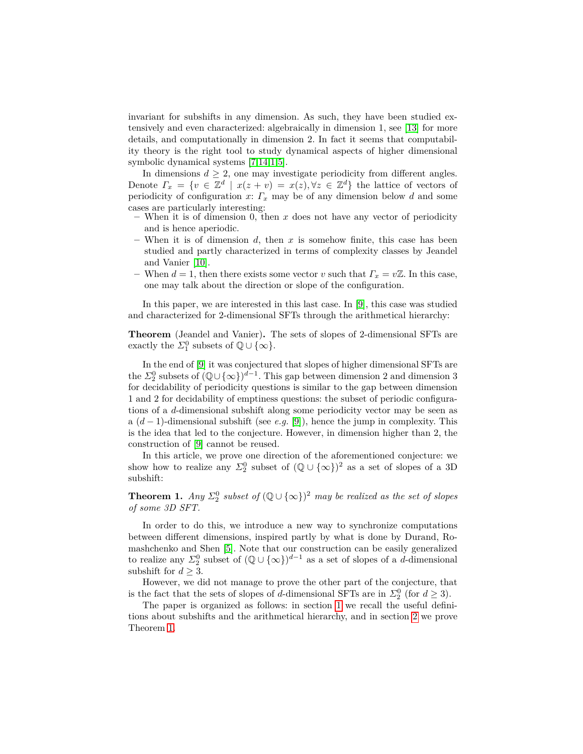invariant for subshifts in any dimension. As such, they have been studied extensively and even characterized: algebraically in dimension 1, see [\[13\]](#page-11-0) for more details, and computationally in dimension 2. In fact it seems that computability theory is the right tool to study dynamical aspects of higher dimensional symbolic dynamical systems [\[7,](#page-11-11)[14](#page-11-12)[,1,](#page-11-13)[5\]](#page-11-14).

In dimensions  $d \geq 2$ , one may investigate periodicity from different angles. Denote  $\Gamma_x = \{v \in \mathbb{Z}^d \mid x(z+v) = x(z), \forall z \in \mathbb{Z}^d\}$  the lattice of vectors of periodicity of configuration  $x: \Gamma_x$  may be of any dimension below *d* and some cases are particularly interesting:

- **–** When it is of dimension 0, then *x* does not have any vector of periodicity and is hence aperiodic.
- **–** When it is of dimension *d*, then *x* is somehow finite, this case has been studied and partly characterized in terms of complexity classes by Jeandel and Vanier [\[10\]](#page-11-15).
- $−$  When *d* = 1, then there exists some vector *v* such that  $Γ<sub>x</sub> = vZ$ . In this case, one may talk about the direction or slope of the configuration.

In this paper, we are interested in this last case. In [\[9\]](#page-11-16), this case was studied and characterized for 2-dimensional SFTs through the arithmetical hierarchy:

**Theorem** (Jeandel and Vanier)**.** The sets of slopes of 2-dimensional SFTs are exactly the  $\Sigma_1^0$  subsets of  $\mathbb{Q} \cup {\infty}$ .

In the end of [\[9\]](#page-11-16) it was conjectured that slopes of higher dimensional SFTs are the  $\Sigma^0_2$  subsets of  $(\mathbb{Q}\cup\{\infty\})^{d-1}$ . This gap between dimension 2 and dimension 3 for decidability of periodicity questions is similar to the gap between dimension 1 and 2 for decidability of emptiness questions: the subset of periodic configurations of a *d*-dimensional subshift along some periodicity vector may be seen as a (*d* − 1)-dimensional subshift (see *e.g.* [\[9\]](#page-11-16)), hence the jump in complexity. This is the idea that led to the conjecture. However, in dimension higher than 2, the construction of [\[9\]](#page-11-16) cannot be reused.

<span id="page-1-0"></span>In this article, we prove one direction of the aforementioned conjecture: we show how to realize any  $\Sigma_2^0$  subset of  $(\mathbb{Q} \cup {\infty})^2$  as a set of slopes of a 3D subshift:

**Theorem 1.** *Any*  $\Sigma_2^0$  *subset of*  $(\mathbb{Q} \cup {\infty})^2$  *may be realized as the set of slopes of some 3D SFT.*

In order to do this, we introduce a new way to synchronize computations between different dimensions, inspired partly by what is done by Durand, Romashchenko and Shen [\[5\]](#page-11-14). Note that our construction can be easily generalized to realize any  $\Sigma_2^0$  subset of  $(\mathbb{Q} \cup {\infty})^{d-1}$  as a set of slopes of a *d*-dimensional subshift for  $d \geq 3$ .

However, we did not manage to prove the other part of the conjecture, that is the fact that the sets of slopes of *d*-dimensional SFTs are in  $\Sigma^0_2$  (for  $d \geq 3$ ).

The paper is organized as follows: in section [1](#page-2-0) we recall the useful definitions about subshifts and the arithmetical hierarchy, and in section [2](#page-3-0) we prove Theorem [1.](#page-1-0)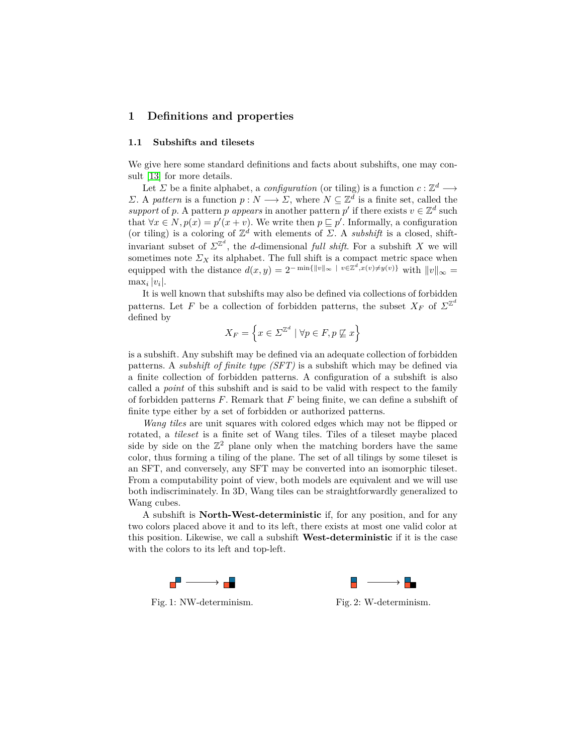# <span id="page-2-0"></span>**1 Definitions and properties**

#### **1.1 Subshifts and tilesets**

We give here some standard definitions and facts about subshifts, one may consult [\[13\]](#page-11-0) for more details.

Let *Σ* be a finite alphabet, a *configuration* (or tiling) is a function  $c: \mathbb{Z}^d \longrightarrow$ *Σ*. A *pattern* is a function *p* : *N* → *Σ*, where  $N ⊆ \mathbb{Z}^d$  is a finite set, called the *support* of *p*. A pattern *p appears* in another pattern *p*' if there exists  $v \in \mathbb{Z}^d$  such that  $\forall x \in N, p(x) = p'(x + v)$ . We write then  $p \subseteq p'$ . Informally, a configuration (or tiling) is a coloring of  $\mathbb{Z}^d$  with elements of  $\Sigma$ . A *subshift* is a closed, shiftinvariant subset of  $\Sigma^{\mathbb{Z}^d}$ , the *d*-dimensional *full shift*. For a subshift *X* we will sometimes note  $\Sigma_X$  its alphabet. The full shift is a compact metric space when equipped with the distance  $d(x, y) = 2^{-\min\{\Vert v \Vert_{\infty} + v \in \mathbb{Z}^d, x(v) \neq y(v)\}}$  with  $||v||_{\infty} =$  $\max_i |v_i|$ .

It is well known that subshifts may also be defined via collections of forbidden patterns. Let *F* be a collection of forbidden patterns, the subset  $X_F$  of  $\Sigma^{\mathbb{Z}^d}$ defined by

$$
X_F = \left\{ x \in \Sigma^{\mathbb{Z}^d} \mid \forall p \in F, p \not\sqsubseteq x \right\}
$$

is a subshift. Any subshift may be defined via an adequate collection of forbidden patterns. A *subshift of finite type (SFT)* is a subshift which may be defined via a finite collection of forbidden patterns. A configuration of a subshift is also called a *point* of this subshift and is said to be valid with respect to the family of forbidden patterns *F*. Remark that *F* being finite, we can define a subshift of finite type either by a set of forbidden or authorized patterns.

*Wang tiles* are unit squares with colored edges which may not be flipped or rotated, a *tileset* is a finite set of Wang tiles. Tiles of a tileset maybe placed side by side on the  $\mathbb{Z}^2$  plane only when the matching borders have the same color, thus forming a tiling of the plane. The set of all tilings by some tileset is an SFT, and conversely, any SFT may be converted into an isomorphic tileset. From a computability point of view, both models are equivalent and we will use both indiscriminately. In 3D, Wang tiles can be straightforwardly generalized to Wang cubes.

A subshift is **North-West-deterministic** if, for any position, and for any two colors placed above it and to its left, there exists at most one valid color at this position. Likewise, we call a subshift **West-deterministic** if it is the case with the colors to its left and top-left.





Fig. 1: NW-determinism. Fig. 2: W-determinism.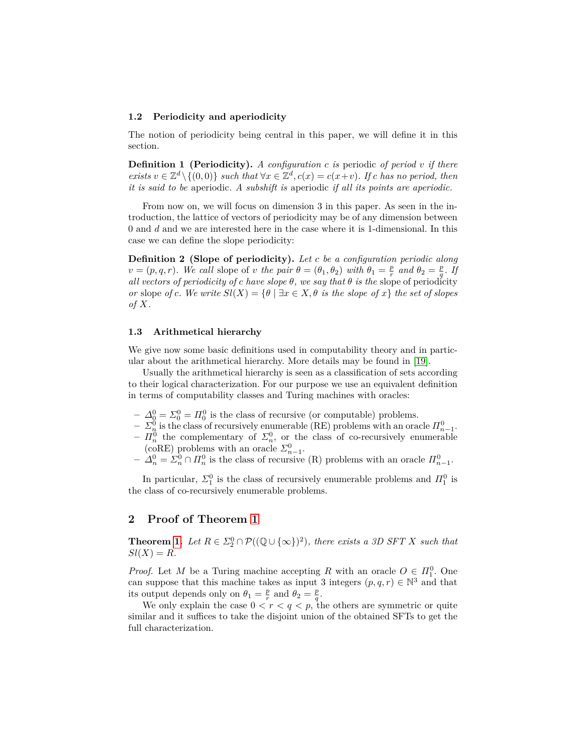#### **1.2 Periodicity and aperiodicity**

The notion of periodicity being central in this paper, we will define it in this section.

**Definition 1 (Periodicity).** *A configuration c is* periodic *of period v if there*  $\exists x \in \mathbb{Z}^d \setminus \{(0,0)\}$  *such that*  $\forall x \in \mathbb{Z}^d, c(x) = c(x+v)$ . If *c has no period, then it is said to be* aperiodic*. A subshift is* aperiodic *if all its points are aperiodic.*

From now on, we will focus on dimension 3 in this paper. As seen in the introduction, the lattice of vectors of periodicity may be of any dimension between 0 and *d* and we are interested here in the case where it is 1-dimensional. In this case we can define the slope periodicity:

**Definition 2 (Slope of periodicity).** *Let c be a configuration periodic along*  $v = (p, q, r)$ *. We call* slope of *v* the pair  $\theta = (\theta_1, \theta_2)$  with  $\theta_1 = \frac{p}{r}$  and  $\theta_2 = \frac{p}{q}$ *. If all vectors of periodicity of c have slope*  $\theta$ *, we say that*  $\theta$  *is the* slope of periodicity *or* slope *of c. We write*  $Sl(X) = \{ \theta \mid \exists x \in X, \theta \text{ is the slope of } x \}$  the set of slopes *of X.*

#### **1.3 Arithmetical hierarchy**

We give now some basic definitions used in computability theory and in particular about the arithmetical hierarchy. More details may be found in [\[19\]](#page-11-17).

Usually the arithmetical hierarchy is seen as a classification of sets according to their logical characterization. For our purpose we use an equivalent definition in terms of computability classes and Turing machines with oracles:

- $\Delta_0^0$  =  $\Sigma_0^0$  =  $\Pi_0^0$  is the class of recursive (or computable) problems.
- $-\sum_{n=1}^{\infty}$  is the class of recursively enumerable (RE) problems with an oracle  $\prod_{n=1}^{\infty}$ .
- $-I_n^0$  the complementary of  $\Sigma_n^0$ , or the class of co-recursively enumerable (coRE) problems with an oracle  $\Sigma_{n-1}^0$ .
- $-$  *∆*<sub>n</sub><sup>0</sup> =  $\Sigma_n^0 \cap \Pi_n^0$  is the class of recursive (R) problems with an oracle  $\Pi_{n-1}^0$ .

In particular,  $\Sigma_1^0$  is the class of recursively enumerable problems and  $\Pi_1^0$  is the class of co-recursively enumerable problems.

### <span id="page-3-0"></span>**2 Proof of Theorem [1](#page-1-0)**

**Theorem [1.](#page-1-0)** *Let*  $R \in \Sigma_2^0 \cap \mathcal{P}((\mathbb{Q} \cup {\infty})^2)$ , *there exists a 3D SFT X such that*  $Sl(X) = R$ *.* 

*Proof.* Let *M* be a Turing machine accepting *R* with an oracle  $O \in H_1^0$ . One can suppose that this machine takes as input 3 integers  $(p, q, r) \in \mathbb{N}^3$  and that its output depends only on  $\theta_1 = \frac{p}{r}$  and  $\theta_2 = \frac{p}{q}$ .

We only explain the case  $0 < r < q < p$ , the others are symmetric or quite similar and it suffices to take the disjoint union of the obtained SFTs to get the full characterization.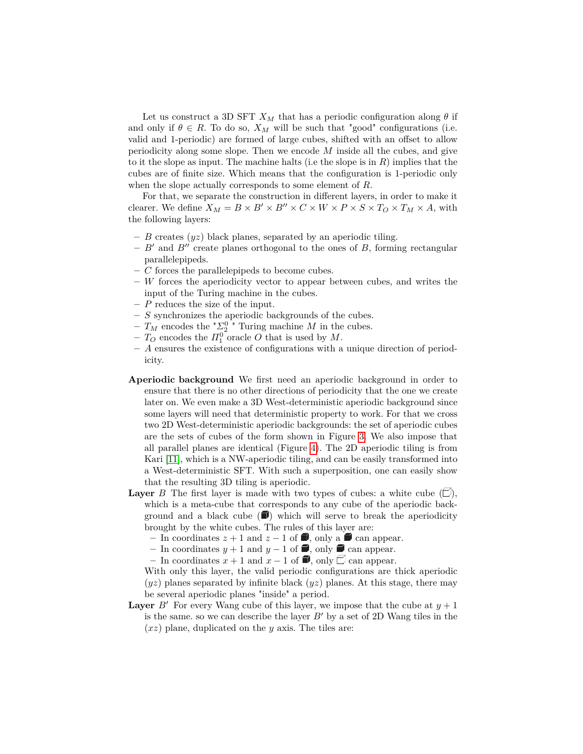Let us construct a 3D SFT  $X_M$  that has a periodic configuration along  $\theta$  if and only if  $\theta \in R$ . To do so,  $X_M$  will be such that "good" configurations (i.e. valid and 1-periodic) are formed of large cubes, shifted with an offset to allow periodicity along some slope. Then we encode *M* inside all the cubes, and give to it the slope as input. The machine halts (i.e the slope is in *R*) implies that the cubes are of finite size. Which means that the configuration is 1-periodic only when the slope actually corresponds to some element of *R*.

For that, we separate the construction in different layers, in order to make it clearer. We define  $X_M = B \times B' \times B'' \times C \times W \times P \times S \times T_O \times T_M \times A$ , with the following layers:

- **–** *B* creates (*yz*) black planes, separated by an aperiodic tiling.
- $-$  *B*<sup> $\prime$ </sup> and *B*<sup> $\prime\prime$ </sup> create planes orthogonal to the ones of *B*, forming rectangular parallelepipeds.
- **–** *C* forces the parallelepipeds to become cubes.
- **–** *W* forces the aperiodicity vector to appear between cubes, and writes the input of the Turing machine in the cubes.
- **–** *P* reduces the size of the input.
- **–** *S* synchronizes the aperiodic backgrounds of the cubes.
- $T_M$  encodes the  ${}^{\dagger} \Sigma^0_2$   ${}^{\dagger}$  Turing machine *M* in the cubes.
- $T_O$  encodes the  $\Pi_1^0$  oracle *O* that is used by *M*.
- **–** *A* ensures the existence of configurations with a unique direction of periodicity.
- **Aperiodic background** We first need an aperiodic background in order to ensure that there is no other directions of periodicity that the one we create later on. We even make a 3D West-deterministic aperiodic background since some layers will need that deterministic property to work. For that we cross two 2D West-deterministic aperiodic backgrounds: the set of aperiodic cubes are the sets of cubes of the form shown in Figure [3.](#page-5-0) We also impose that all parallel planes are identical (Figure [4\)](#page-5-0). The 2D aperiodic tiling is from Kari [\[11\]](#page-11-18), which is a NW-aperiodic tiling, and can be easily transformed into a West-deterministic SFT. With such a superposition, one can easily show that the resulting 3D tiling is aperiodic.
- **Layer** *B* The first layer is made with two types of cubes: a white cube  $(\Box)$ , which is a meta-cube that corresponds to any cube of the aperiodic background and a black cube  $(\blacksquare)$  which will serve to break the aperiodicity brought by the white cubes. The rules of this layer are:
	- In coordinates  $z + 1$  and  $z 1$  of ■, only a can appear.
	- In coordinates  $y + 1$  and  $y 1$  of ■, only can appear.
	- − In coordinates  $x + 1$  and  $x 1$  of  $\blacksquare$ , only  $\Box$  can appear.
	- With only this layer, the valid periodic configurations are thick aperiodic  $(yz)$  planes separated by infinite black  $(yz)$  planes. At this stage, there may be several aperiodic planes "inside" a period.
- **Layer** *B*<sup> $\prime$ </sup> For every Wang cube of this layer, we impose that the cube at  $y + 1$ is the same. so we can describe the layer  $B'$  by a set of 2D Wang tiles in the (*xz*) plane, duplicated on the *y* axis. The tiles are: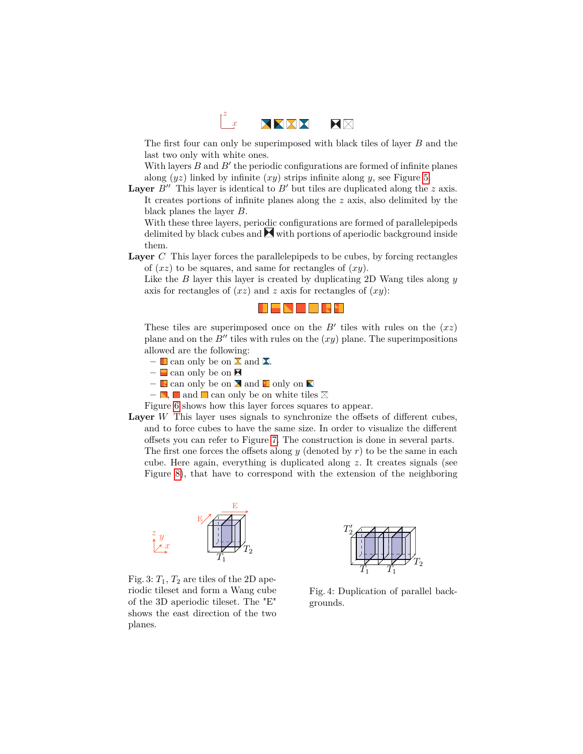

The first four can only be superimposed with black tiles of layer *B* and the last two only with white ones.

With layers  $B$  and  $B'$  the periodic configurations are formed of infinite planes along (*yz*) linked by infinite (*xy*) strips infinite along *y*, see Figure [5.](#page-6-0)

**Layer**  $B''$  This layer is identical to  $B'$  but tiles are duplicated along the  $z$  axis. It creates portions of infinite planes along the *z* axis, also delimited by the black planes the layer *B*.

With these three layers, periodic configurations are formed of parallelepipeds delimited by black cubes and  $\blacktriangleright$  with portions of aperiodic background inside them.

**Layer** *C* This layer forces the parallelepipeds to be cubes, by forcing rectangles of (*xz*) to be squares, and same for rectangles of (*xy*).

Like the *B* layer this layer is created by duplicating 2D Wang tiles along *y* axis for rectangles of (*xz*) and *z* axis for rectangles of (*xy*):



These tiles are superimposed once on the  $B'$  tiles with rules on the  $(xz)$ plane and on the  $B''$  tiles with rules on the  $(xy)$  plane. The superimpositions allowed are the following:

- $-$  **L** can only be on  $\Sigma$  and  $\Sigma$ .
- **–** can only be on
- $-$  **c** can only be on  $\times$  and  $\Box$  only on  $\times$
- $-$  **.** and can only be on white tiles  $\boxtimes$

Figure [6](#page-6-0) shows how this layer forces squares to appear.

Layer *W* This layer uses signals to synchronize the offsets of different cubes, and to force cubes to have the same size. In order to visualize the different offsets you can refer to Figure [7.](#page-6-1) The construction is done in several parts. The first one forces the offsets along *y* (denoted by *r*) to be the same in each cube. Here again, everything is duplicated along *z*. It creates signals (see Figure [8\)](#page-6-1), that have to correspond with the extension of the neighboring

<span id="page-5-0"></span>

Fig. 3:  $T_1$ ,  $T_2$  are tiles of the 2D aperiodic tileset and form a Wang cube of the 3D aperiodic tileset. The "E" shows the east direction of the two planes.



Fig. 4: Duplication of parallel backgrounds.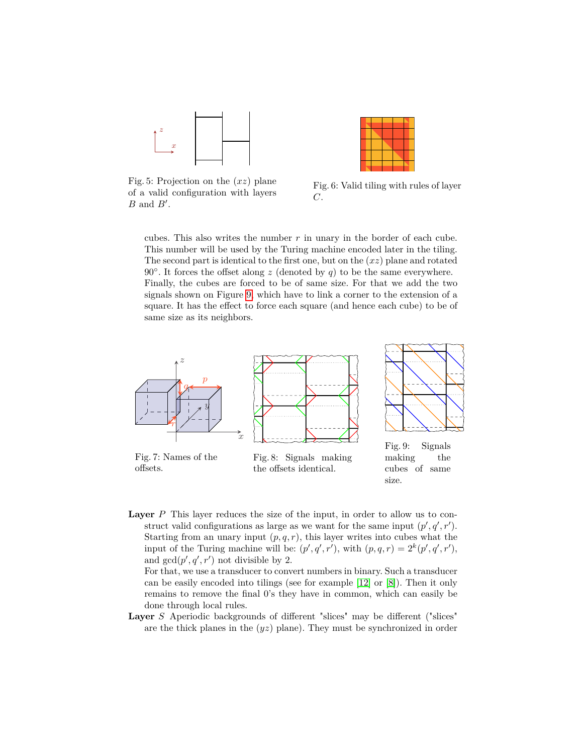<span id="page-6-0"></span>

Fig. 5: Projection on the (*xz*) plane of a valid configuration with layers  $B$  and  $B'$ .



Fig. 6: Valid tiling with rules of layer *C*.

size.

cubes. This also writes the number  $r$  in unary in the border of each cube. This number will be used by the Turing machine encoded later in the tiling. The second part is identical to the first one, but on the (*xz*) plane and rotated 90 $\degree$ . It forces the offset along  $z$  (denoted by  $q$ ) to be the same everywhere. Finally, the cubes are forced to be of same size. For that we add the two signals shown on Figure [9,](#page-6-1) which have to link a corner to the extension of a square. It has the effect to force each square (and hence each cube) to be of same size as its neighbors.

<span id="page-6-1"></span>

Layer *P* This layer reduces the size of the input, in order to allow us to construct valid configurations as large as we want for the same input  $(p', q', r')$ . Starting from an unary input  $(p, q, r)$ , this layer writes into cubes what the input of the Turing machine will be:  $(p', q', r')$ , with  $(p, q, r) = 2^k(p', q', r')$ , and  $gcd(p', q', r')$  not divisible by 2.

For that, we use a transducer to convert numbers in binary. Such a transducer can be easily encoded into tilings (see for example [\[12\]](#page-11-5) or [\[8\]](#page-11-8)). Then it only remains to remove the final 0's they have in common, which can easily be done through local rules.

Layer *S* Aperiodic backgrounds of different "slices" may be different ("slices" are the thick planes in the (*yz*) plane). They must be synchronized in order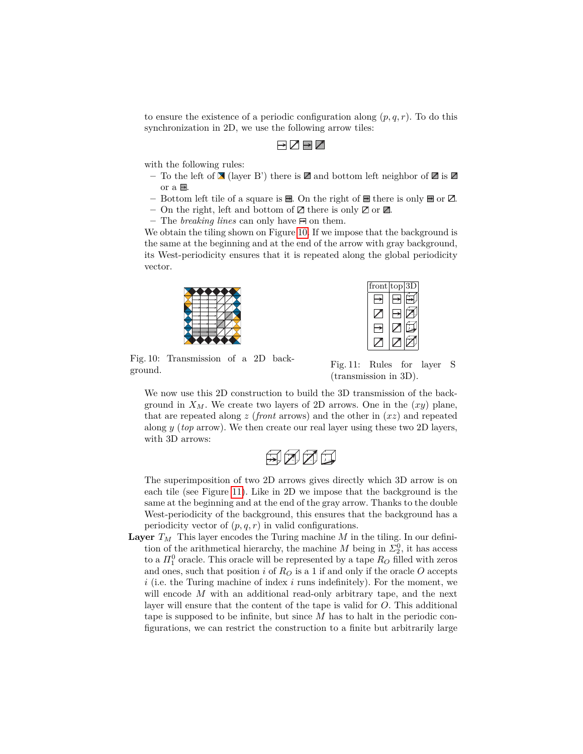to ensure the existence of a periodic configuration along (*p, q, r*). To do this synchronization in 2D, we use the following arrow tiles:

# $\neg$   $\neg$   $\neg$   $\neg$

with the following rules:

- To the left of  $\blacktriangleright$  (layer B') there is  $\blacktriangleright$  and bottom left neighbor of  $\blacktriangleright$  is  $\blacktriangleright$ or a  $\Box$ .
- Bottom left tile of a square is  $\blacksquare$ . On the right of  $\blacksquare$  there is only  $\blacksquare$  or  $\boxtimes$ .
- On the right, left and bottom of  $\mathbb Z$  there is only  $\mathbb Z$  or  $\mathbb Z$ .
- $-$  The *breaking lines* can only have  $\Xi$  on them.

<span id="page-7-0"></span>We obtain the tiling shown on Figure [10.](#page-7-0) If we impose that the background is the same at the beginning and at the end of the arrow with gray background, its West-periodicity ensures that it is repeated along the global periodicity vector.



| front | $\overline{\mathrm{top}}$ | 3 |
|-------|---------------------------|---|
|       |                           |   |
|       |                           |   |
|       |                           |   |
|       |                           |   |

Fig. 10: Transmission of a 2D background.

Fig. 11: Rules for layer S (transmission in 3D).

We now use this 2D construction to build the 3D transmission of the background in  $X_M$ . We create two layers of 2D arrows. One in the  $(xy)$  plane, that are repeated along *z* (*front* arrows) and the other in (*xz*) and repeated along *y* (*top* arrow). We then create our real layer using these two 2D layers, with 3D arrows:



The superimposition of two 2D arrows gives directly which 3D arrow is on each tile (see Figure [11\)](#page-7-0). Like in 2D we impose that the background is the same at the beginning and at the end of the gray arrow. Thanks to the double West-periodicity of the background, this ensures that the background has a periodicity vector of  $(p, q, r)$  in valid configurations.

**Layer**  $T_M$  This layer encodes the Turing machine *M* in the tiling. In our definition of the arithmetical hierarchy, the machine *M* being in  $\Sigma_2^0$ , it has access to a  $\Pi_1^0$  oracle. This oracle will be represented by a tape  $R_O$  filled with zeros and ones, such that position *i* of  $R<sub>O</sub>$  is a 1 if and only if the oracle *O* accepts *i* (i.e. the Turing machine of index *i* runs indefinitely). For the moment, we will encode *M* with an additional read-only arbitrary tape, and the next layer will ensure that the content of the tape is valid for *O*. This additional tape is supposed to be infinite, but since *M* has to halt in the periodic configurations, we can restrict the construction to a finite but arbitrarily large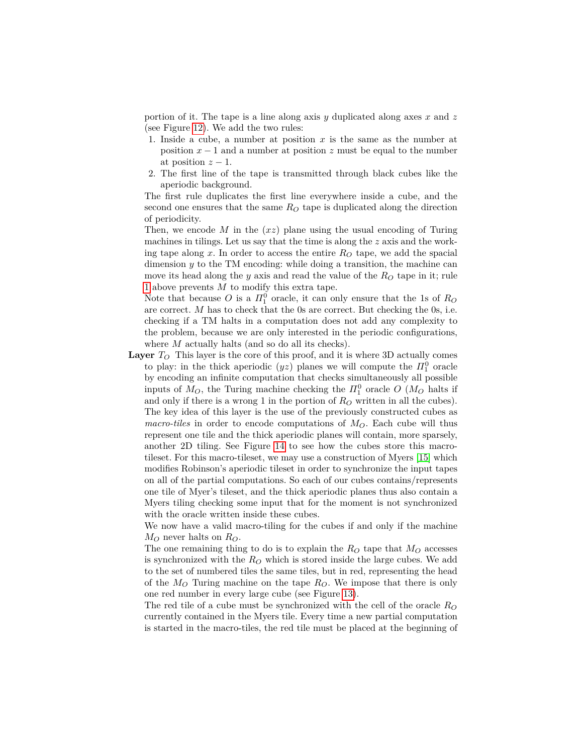portion of it. The tape is a line along axis *y* duplicated along axes *x* and *z* (see Figure [12\)](#page-9-0). We add the two rules:

- <span id="page-8-0"></span>1. Inside a cube, a number at position *x* is the same as the number at position  $x - 1$  and a number at position  $z$  must be equal to the number at position  $z - 1$ .
- 2. The first line of the tape is transmitted through black cubes like the aperiodic background.

The first rule duplicates the first line everywhere inside a cube, and the second one ensures that the same *R<sup>O</sup>* tape is duplicated along the direction of periodicity.

Then, we encode *M* in the (*xz*) plane using the usual encoding of Turing machines in tilings. Let us say that the time is along the *z* axis and the working tape along x. In order to access the entire  $R<sub>O</sub>$  tape, we add the spacial dimension *y* to the TM encoding: while doing a transition, the machine can move its head along the *y* axis and read the value of the  $R<sub>O</sub>$  tape in it; rule [1](#page-8-0) above prevents *M* to modify this extra tape.

Note that because *O* is a  $\Pi_1^0$  oracle, it can only ensure that the 1s of  $R_O$ are correct. *M* has to check that the 0s are correct. But checking the 0s, i.e. checking if a TM halts in a computation does not add any complexity to the problem, because we are only interested in the periodic configurations, where *M* actually halts (and so do all its checks).

**Layer** *T<sup>O</sup>* This layer is the core of this proof, and it is where 3D actually comes to play: in the thick aperiodic  $(yz)$  planes we will compute the  $\Pi_1^0$  oracle by encoding an infinite computation that checks simultaneously all possible inputs of  $M_O$ , the Turing machine checking the  $\Pi_1^0$  oracle  $O(M_O)$  halts if and only if there is a wrong 1 in the portion of *R<sup>O</sup>* written in all the cubes). The key idea of this layer is the use of the previously constructed cubes as *macro-tiles* in order to encode computations of *MO*. Each cube will thus represent one tile and the thick aperiodic planes will contain, more sparsely, another 2D tiling. See Figure [14](#page-10-0) to see how the cubes store this macrotileset. For this macro-tileset, we may use a construction of Myers [\[15\]](#page-11-19) which modifies Robinson's aperiodic tileset in order to synchronize the input tapes on all of the partial computations. So each of our cubes contains/represents one tile of Myer's tileset, and the thick aperiodic planes thus also contain a Myers tiling checking some input that for the moment is not synchronized with the oracle written inside these cubes.

We now have a valid macro-tiling for the cubes if and only if the machine *M<sup>O</sup>* never halts on *RO*.

The one remaining thing to do is to explain the  $R<sub>O</sub>$  tape that  $M<sub>O</sub>$  accesses is synchronized with the  $R<sub>O</sub>$  which is stored inside the large cubes. We add to the set of numbered tiles the same tiles, but in red, representing the head of the *M<sup>O</sup>* Turing machine on the tape *RO*. We impose that there is only one red number in every large cube (see Figure [13\)](#page-9-0).

The red tile of a cube must be synchronized with the cell of the oracle  $R_O$ currently contained in the Myers tile. Every time a new partial computation is started in the macro-tiles, the red tile must be placed at the beginning of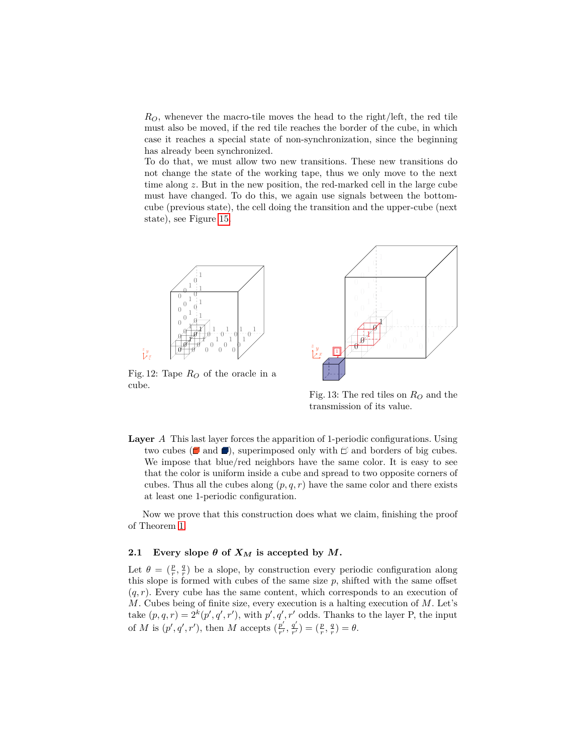*RO*, whenever the macro-tile moves the head to the right/left, the red tile must also be moved, if the red tile reaches the border of the cube, in which case it reaches a special state of non-synchronization, since the beginning has already been synchronized.

To do that, we must allow two new transitions. These new transitions do not change the state of the working tape, thus we only move to the next time along *z*. But in the new position, the red-marked cell in the large cube must have changed. To do this, we again use signals between the bottomcube (previous state), the cell doing the transition and the upper-cube (next state), see Figure [15.](#page-10-0)

<span id="page-9-0"></span>

Fig. 12: Tape *R<sup>O</sup>* of the oracle in a cube.

x



Fig. 13: The red tiles on  $R<sub>O</sub>$  and the transmission of its value.

**Layer** *A* This last layer forces the apparition of 1-periodic configurations. Using two cubes ( $\Box$  and  $\Box$ ), superimposed only with  $\Box$  and borders of big cubes. We impose that blue/red neighbors have the same color. It is easy to see that the color is uniform inside a cube and spread to two opposite corners of cubes. Thus all the cubes along  $(p, q, r)$  have the same color and there exists at least one 1-periodic configuration.

Now we prove that this construction does what we claim, finishing the proof of Theorem [1.](#page-1-0)

### **2.1** Every slope  $\theta$  of  $X_M$  is accepted by  $M$ .

Let  $\theta = (\frac{p}{r}, \frac{q}{r})$  be a slope, by construction every periodic configuration along this slope is formed with cubes of the same size *p*, shifted with the same offset  $(q, r)$ . Every cube has the same content, which corresponds to an execution of *M*. Cubes being of finite size, every execution is a halting execution of *M*. Let's take  $(p, q, r) = 2^{k}(p', q', r')$ , with  $p', q', r'$  odds. Thanks to the layer P, the input of *M* is  $(p', q', r')$ , then *M* accepts  $\left(\frac{p'}{r'}\right)$  $\frac{p'}{r'}$ ,  $\frac{q'}{r'}$  $\frac{q'}{r'}$ ) =  $(\frac{p}{r}, \frac{q}{r}) = \theta.$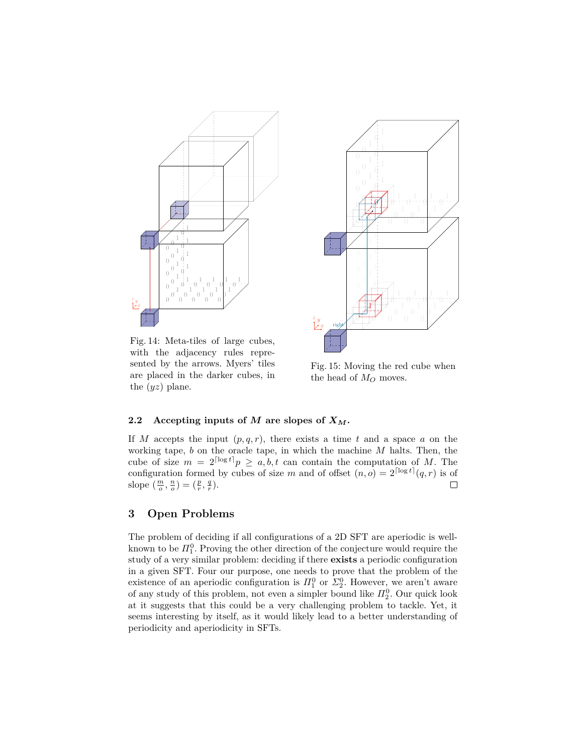<span id="page-10-0"></span>

Fig. 14: Meta-tiles of large cubes, with the adjacency rules represented by the arrows. Myers' tiles are placed in the darker cubes, in the (*yz*) plane.



Fig. 15: Moving the red cube when the head of *M<sup>O</sup>* moves.

## **2.2** Accepting inputs of *M* are slopes of  $X_M$ .

If *M* accepts the input  $(p, q, r)$ , there exists a time *t* and a space *a* on the working tape, *b* on the oracle tape, in which the machine *M* halts. Then, the cube of size  $m = 2^{\lceil \log t \rceil} p \ge a, b, t$  can contain the computation of M. The configuration formed by cubes of size *m* and of offset  $(n, o) = 2^{\lceil \log t \rceil} (q, r)$  is of slope  $\left(\frac{m}{o}, \frac{n}{o}\right) = \left(\frac{p}{r}, \frac{q}{r}\right)$ .  $\Box$ 

# **3 Open Problems**

The problem of deciding if all configurations of a 2D SFT are aperiodic is wellknown to be  $\Pi_1^0$ . Proving the other direction of the conjecture would require the study of a very similar problem: deciding if there **exists** a periodic configuration in a given SFT. Four our purpose, one needs to prove that the problem of the existence of an aperiodic configuration is  $\Pi_1^0$  or  $\Sigma_2^0$ . However, we aren't aware of any study of this problem, not even a simpler bound like  $\Pi_2^0$ . Our quick look at it suggests that this could be a very challenging problem to tackle. Yet, it seems interesting by itself, as it would likely lead to a better understanding of periodicity and aperiodicity in SFTs.